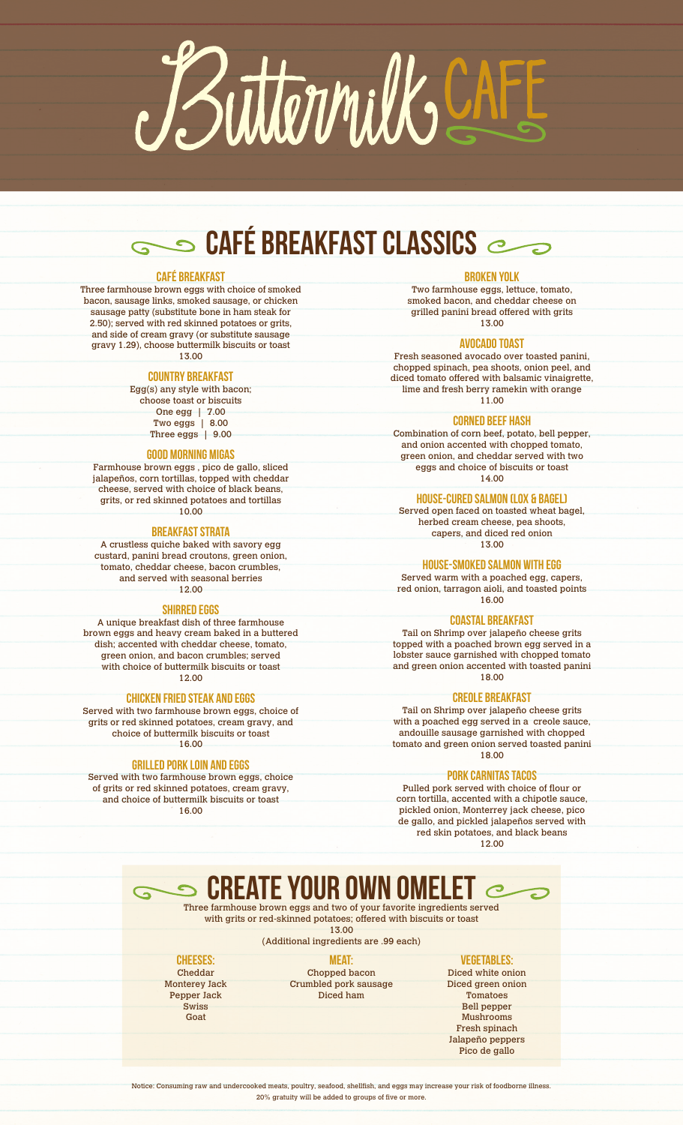

# **SAFÉ BREAKFAST CLASSICS**

#### CAFÉ BREAKFAST

Three farmhouse brown eggs with choice of smoked bacon, sausage links, smoked sausage, or chicken sausage patty (substitute bone in ham steak for 2.50); served with red skinned potatoes or grits, and side of cream gravy (or substitute sausage gravy 1.29), choose buttermilk biscuits or toast 13.00

# COUNTRY BREAKFAST

Egg(s) any style with bacon; choose toast or biscuits One egg | 7.00

Two eggs | 8.00 Three eggs | 9.00

# GOOD MORNING MIGAS

Farmhouse brown eggs , pico de gallo, sliced jalapeños, corn tortillas, topped with cheddar cheese, served with choice of black beans, grits, or red skinned potatoes and tortillas  $10.00$ 

#### BREAKFAST STRATA

A crustless quiche baked with savory egg custard, panini bread croutons, green onion, tomato, cheddar cheese, bacon crumbles, and served with seasonal berries 12.00

#### SHIRRED EGGS

A unique breakfast dish of three farmhouse brown eggs and heavy cream baked in a buttered dish; accented with cheddar cheese, tomato, green onion, and bacon crumbles; served with choice of buttermilk biscuits or toast 12.00

# Chicken fried Steak and Eggs

Served with two farmhouse brown eggs, choice of grits or red skinned potatoes, cream gravy, and choice of buttermilk biscuits or toast 16.00

#### Grilled pork loin and eggs

Served with two farmhouse brown eggs, choice of grits or red skinned potatoes, cream gravy, and choice of buttermilk biscuits or toast 16.00

 $\mathbf G$ 

# BROKEN YOLK

Two farmhouse eggs, lettuce, tomato, smoked bacon, and cheddar cheese on grilled panini bread offered with grits 13.00

#### Avocado Toast

Fresh seasoned avocado over toasted panini, chopped spinach, pea shoots, onion peel, and diced tomato offered with balsamic vinaigrette, lime and fresh berry ramekin with orange 11.00

#### CORNED BEEF HASH

Combination of corn beef, potato, bell pepper, and onion accented with chopped tomato, green onion, and cheddar served with two eggs and choice of biscuits or toast 14.00

**HOUSE-CURED SALMON (LOX & BAGEL)** 

Served open faced on toasted wheat bagel, herbed cream cheese, pea shoots, capers, and diced red onion 13.00

House-smoked salmon with Egg

Served warm with a poached egg, capers, red onion, tarragon aioli, and toasted points 16.00

# COASTAL BREAKFAST

Tail on Shrimp over jalapeño cheese grits topped with a poached brown egg served in a lobster sauce garnished with chopped tomato and green onion accented with toasted panini 18.00

# Creole Breakfast

Tail on Shrimp over jalapeño cheese grits with a poached egg served in a creole sauce, andouille sausage garnished with chopped tomato and green onion served toasted panini 18.00

# PORK CARNITAS TACOS

Pulled pork served with choice of flour or corn tortilla, accented with a chipotle sauce, pickled onion, Monterrey jack cheese, pico de gallo, and pickled jalapeños served with red skin potatoes, and black beans 12.00

 create your own omelet Three farmhouse brown eggs and two of your favorite ingredients served

with grits or red-skinned potatoes; offered with biscuits or toast 13.00

(Additional ingredients are .99 each)

# CHEESES:

Cheddar Monterey Jack Pepper Jack Swiss Goat

MEAT: Chopped bacon Crumbled pork sausage Diced ham

#### Vegetables:

Diced white onion Diced green onion **Tomatoes** Bell pepper Mushrooms Fresh spinach Jalapeño peppers Pico de gallo

Notice: Consuming raw and undercooked meats, poultry, seafood, shellfish, and eggs may increase your risk of foodborne illness. 20% gratuity will be added to groups of five or more.